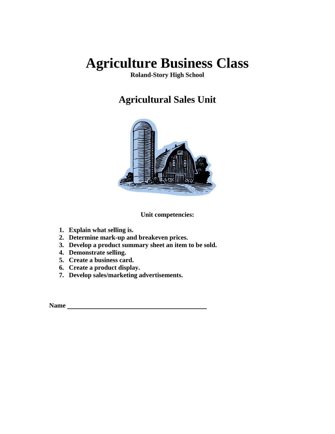**Roland-Story High School** 

# **Agricultural Sales Unit**



**Unit competencies:** 

- **1. Explain what selling is.**
- **2. Determine mark-up and breakeven prices.**
- **3. Develop a product summary sheet an item to be sold.**
- **4. Demonstrate selling.**
- **5. Create a business card.**
- **6. Create a product display.**
- **7. Develop sales/marketing advertisements.**

**Name**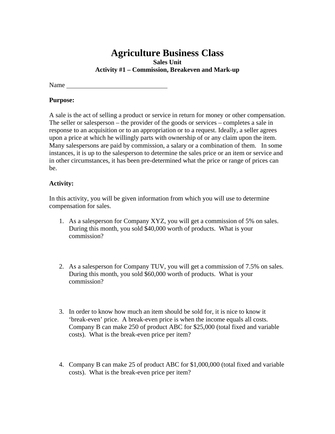**Sales Unit** 

**Activity #1 – Commission, Breakeven and Mark-up** 

Name and the state of the state of the state of the state of the state of the state of the state of the state of the state of the state of the state of the state of the state of the state of the state of the state of the s

### **Purpose:**

A sale is the act of selling a product or service in return for money or other compensation. The seller or salesperson – the provider of the goods or services – completes a sale in response to an acquisition or to an appropriation or to a request. Ideally, a seller agrees upon a price at which he willingly parts with ownership of or any claim upon the item. Many salespersons are paid by commission, a salary or a combination of them. In some instances, it is up to the salesperson to determine the sales price or an item or service and in other circumstances, it has been pre-determined what the price or range of prices can be.

# **Activity:**

In this activity, you will be given information from which you will use to determine compensation for sales.

- 1. As a salesperson for Company XYZ, you will get a commission of 5% on sales. During this month, you sold \$40,000 worth of products. What is your commission?
- 2. As a salesperson for Company TUV, you will get a commission of 7.5% on sales. During this month, you sold \$60,000 worth of products. What is your commission?
- 3. In order to know how much an item should be sold for, it is nice to know it 'break-even' price. A break-even price is when the income equals all costs. Company B can make 250 of product ABC for \$25,000 (total fixed and variable costs). What is the break-even price per item?
- 4. Company B can make 25 of product ABC for \$1,000,000 (total fixed and variable costs). What is the break-even price per item?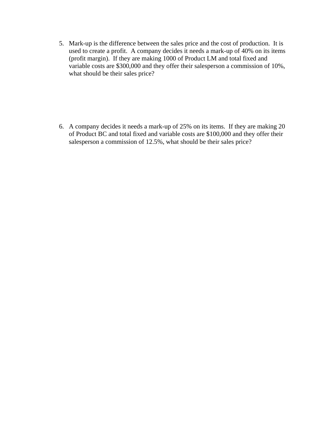5. Mark-up is the difference between the sales price and the cost of production. It is used to create a profit. A company decides it needs a mark-up of 40% on its items (profit margin). If they are making 1000 of Product LM and total fixed and variable costs are \$300,000 and they offer their salesperson a commission of 10%, what should be their sales price?

6. A company decides it needs a mark-up of 25% on its items. If they are making 20 of Product BC and total fixed and variable costs are \$100,000 and they offer their salesperson a commission of 12.5%, what should be their sales price?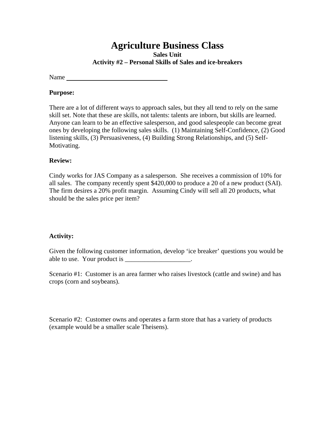**Sales Unit Activity #2 – Personal Skills of Sales and ice-breakers** 

Name

### **Purpose:**

There are a lot of different ways to approach sales, but they all tend to rely on the same skill set. Note that these are skills, not talents: talents are inborn, but skills are learned. Anyone can learn to be an effective salesperson, and good salespeople can become great ones by developing the following sales skills. (1) Maintaining Self-Confidence, (2) Good listening skills, (3) Persuasiveness, (4) Building Strong Relationships, and (5) Self-Motivating.

# **Review:**

Cindy works for JAS Company as a salesperson. She receives a commission of 10% for all sales. The company recently spent \$420,000 to produce a 20 of a new product (SAI). The firm desires a 20% profit margin. Assuming Cindy will sell all 20 products, what should be the sales price per item?

# **Activity:**

Given the following customer information, develop 'ice breaker' questions you would be able to use. Your product is \_\_\_\_\_\_\_\_\_\_\_\_\_\_\_\_\_\_\_\_.

Scenario #1: Customer is an area farmer who raises livestock (cattle and swine) and has crops (corn and soybeans).

Scenario #2: Customer owns and operates a farm store that has a variety of products (example would be a smaller scale Theisens).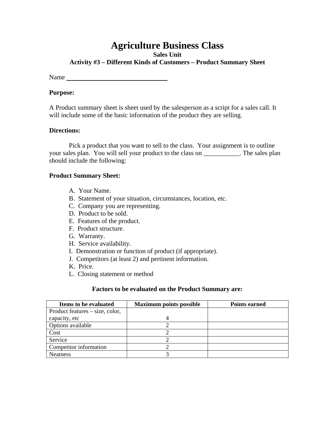**Sales Unit** 

**Activity #3 – Different Kinds of Customers – Product Summary Sheet** 

Name

### **Purpose:**

A Product summary sheet is sheet used by the salesperson as a script for a sales call. It will include some of the basic information of the product they are selling.

# **Directions:**

 Pick a product that you want to sell to the class. Your assignment is to outline your sales plan. You will sell your product to the class on \_\_\_\_\_\_\_\_\_\_\_. The sales plan should include the following:

### **Product Summary Sheet:**

- A. Your Name.
- B. Statement of your situation, circumstances, location, etc.
- C. Company you are representing.
- D. Product to be sold.
- E. Features of the product.
- F. Product structure.
- G. Warranty.
- H. Service availability.
- I. Demonstration or function of product (if appropriate).
- J. Competitors (at least 2) and pertinent information.
- K. Price.
- L. Closing statement or method

# **Factors to be evaluated on the Product Summary are:**

| <b>Items to be evaluated</b>    | <b>Maximum points possible</b> | <b>Points earned</b> |
|---------------------------------|--------------------------------|----------------------|
| Product features – size, color, |                                |                      |
| capacity, etc                   |                                |                      |
| Options available               |                                |                      |
| Cost                            |                                |                      |
| Service                         |                                |                      |
| Competitor information          |                                |                      |
| <b>Neatness</b>                 |                                |                      |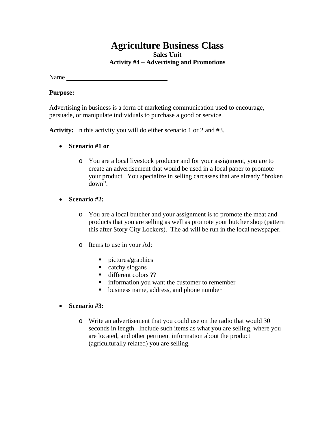**Sales Unit Activity #4 – Advertising and Promotions** 

Name

#### **Purpose:**

Advertising in business is a form of marketing communication used to encourage, persuade, or manipulate individuals to purchase a good or service.

**Activity:** In this activity you will do either scenario 1 or 2 and #3.

- **Scenario #1 or** 
	- o You are a local livestock producer and for your assignment, you are to create an advertisement that would be used in a local paper to promote your product. You specialize in selling carcasses that are already "broken down".

# **Scenario #2:**

- o You are a local butcher and your assignment is to promote the meat and products that you are selling as well as promote your butcher shop (pattern this after Story City Lockers). The ad will be run in the local newspaper.
- o Items to use in your Ad:
	- $\blacksquare$  pictures/graphics
	- catchy slogans
	- different colors ??
	- **ightharroon** you want the customer to remember
	- business name, address, and phone number
- **Scenario #3:** 
	- o Write an advertisement that you could use on the radio that would 30 seconds in length. Include such items as what you are selling, where you are located, and other pertinent information about the product (agriculturally related) you are selling.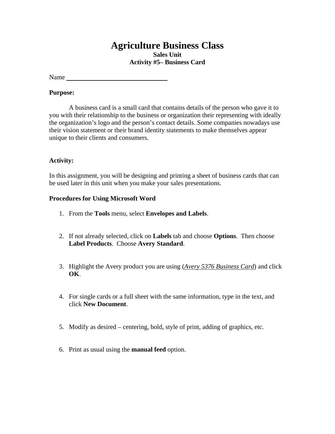**Sales Unit Activity #5– Business Card** 

Name

### **Purpose:**

A business card is a small card that contains details of the person who gave it to you with their relationship to the business or organization their representing with ideally the organization's logo and the person's contact details. Some companies nowadays use their vision statement or their brand identity statements to make themselves appear unique to their clients and consumers.

# **Activity:**

In this assignment, you will be designing and printing a sheet of business cards that can be used later in this unit when you make your sales presentations.

# **Procedures for Using Microsoft Word**

- 1. From the **Tools** menu, select **Envelopes and Labels**.
- 2. If not already selected, click on **Labels** tab and choose **Options**. Then choose **Label Products**. Choose **Avery Standard**.
- 3. Highlight the Avery product you are using (*Avery 5376 Business Card*) and click **OK**.
- 4. For single cards or a full sheet with the same information, type in the text, and click **New Document**.
- 5. Modify as desired centering, bold, style of print, adding of graphics, etc.
- 6. Print as usual using the **manual feed** option.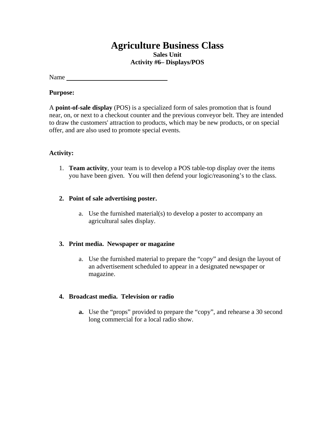**Sales Unit Activity #6– Displays/POS** 

Name

### **Purpose:**

A **point-of-sale display** (POS) is a specialized form of sales promotion that is found near, on, or next to a checkout counter and the previous conveyor belt. They are intended to draw the customers' attraction to products, which may be new products, or on special offer, and are also used to promote special events.

# **Activity:**

1. **Team activity**, your team is to develop a POS table-top display over the items you have been given. You will then defend your logic/reasoning's to the class.

# **2. Point of sale advertising poster.**

a. Use the furnished material(s) to develop a poster to accompany an agricultural sales display.

# **3. Print media. Newspaper or magazine**

a. Use the furnished material to prepare the "copy" and design the layout of an advertisement scheduled to appear in a designated newspaper or magazine.

# **4. Broadcast media. Television or radio**

**a.** Use the "props" provided to prepare the "copy", and rehearse a 30 second long commercial for a local radio show.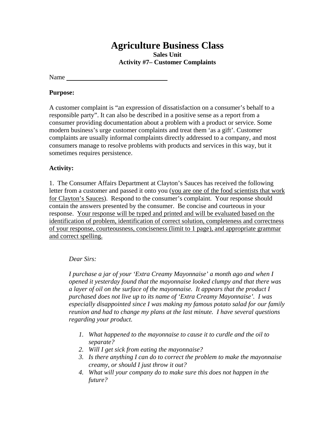**Sales Unit Activity #7– Customer Complaints** 

Name

# **Purpose:**

A customer complaint is "an expression of dissatisfaction on a consumer's behalf to a responsible party". It can also be described in a positive sense as a report from a consumer providing documentation about a problem with a product or service. Some modern business's urge customer complaints and treat them 'as a gift'. Customer complaints are usually informal complaints directly addressed to a company, and most consumers manage to resolve problems with products and services in this way, but it sometimes requires persistence.

# **Activity:**

1. The Consumer Affairs Department at Clayton's Sauces has received the following letter from a customer and passed it onto you (you are one of the food scientists that work for Clayton's Sauces). Respond to the consumer's complaint. Your response should contain the answers presented by the consumer. Be concise and courteous in your response. Your response will be typed and printed and will be evaluated based on the identification of problem, identification of correct solution, completeness and correctness of your response, courteousness, conciseness (limit to 1 page), and appropriate grammar and correct spelling.

# *Dear Sirs:*

*I purchase a jar of your 'Extra Creamy Mayonnaise' a month ago and when I opened it yesterday found that the mayonnaise looked clumpy and that there was a layer of oil on the surface of the mayonnaise. It appears that the product I purchased does not live up to its name of 'Extra Creamy Mayonnaise'. I was especially disappointed since I was making my famous potato salad for our family reunion and had to change my plans at the last minute. I have several questions regarding your product.* 

- *1. What happened to the mayonnaise to cause it to curdle and the oil to separate?*
- *2. Will I get sick from eating the mayonnaise?*
- *3. Is there anything I can do to correct the problem to make the mayonnaise creamy, or should I just throw it out?*
- *4. What will your company do to make sure this does not happen in the future?*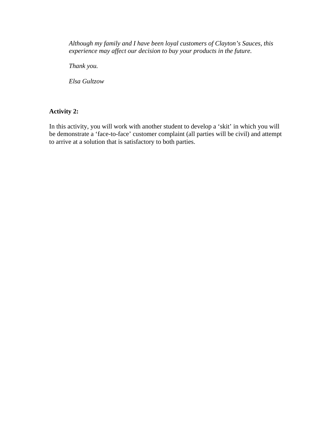*Although my family and I have been loyal customers of Clayton's Sauces, this experience may affect our decision to buy your products in the future.* 

*Thank you.* 

*Elsa Gultzow* 

# **Activity 2:**

In this activity, you will work with another student to develop a 'skit' in which you will be demonstrate a 'face-to-face' customer complaint (all parties will be civil) and attempt to arrive at a solution that is satisfactory to both parties.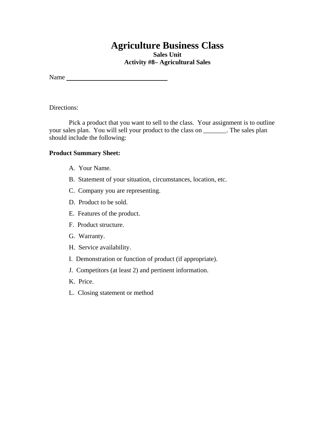**Sales Unit Activity #8– Agricultural Sales** 

Name

Directions:

 Pick a product that you want to sell to the class. Your assignment is to outline your sales plan. You will sell your product to the class on \_\_\_\_\_\_\_. The sales plan should include the following:

#### **Product Summary Sheet:**

- A. Your Name.
- B. Statement of your situation, circumstances, location, etc.
- C. Company you are representing.
- D. Product to be sold.
- E. Features of the product.
- F. Product structure.
- G. Warranty.
- H. Service availability.
- I. Demonstration or function of product (if appropriate).
- J. Competitors (at least 2) and pertinent information.
- K. Price.
- L. Closing statement or method